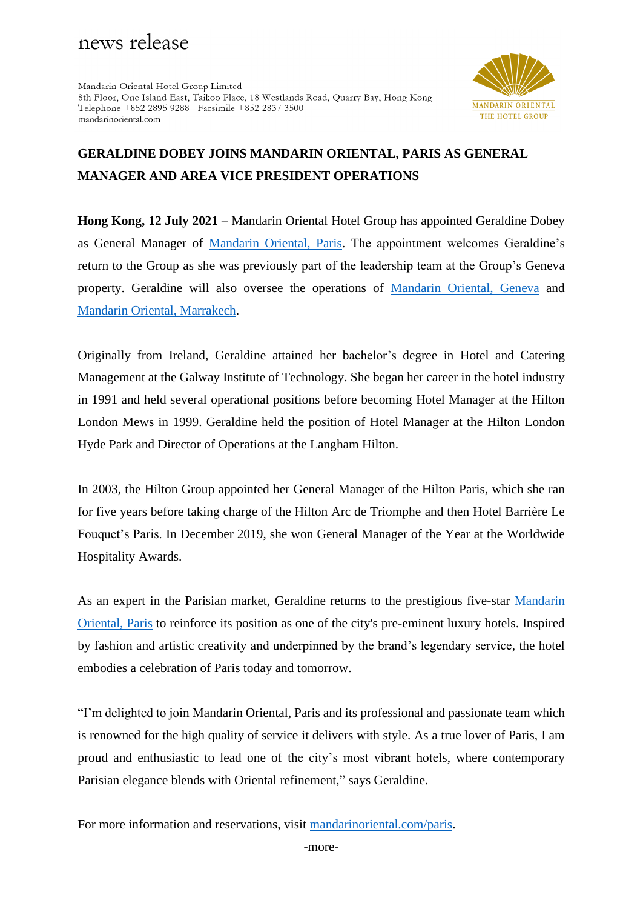# news release

Mandarin Oriental Hotel Group Limited 8th Floor, One Island East, Taikoo Place, 18 Westlands Road, Quarry Bay, Hong Kong Telephone +852 2895 9288 Facsimile +852 2837 3500 mandarinoriental com



## **GERALDINE DOBEY JOINS MANDARIN ORIENTAL, PARIS AS GENERAL MANAGER AND AREA VICE PRESIDENT OPERATIONS**

**Hong Kong, 12 July 2021** – Mandarin Oriental Hotel Group has appointed Geraldine Dobey as General Manager of [Mandarin Oriental, Paris.](https://www.mandarinoriental.com/paris/place-vendome/luxury-hotel) The appointment welcomes Geraldine's return to the Group as she was previously part of the leadership team at the Group's Geneva property. Geraldine will also oversee the operations of [Mandarin Oriental, Geneva](https://www.mandarinoriental.com/geneva/rhone-river/luxury-hotel) and [Mandarin Oriental, Marrakech.](https://www.mandarinoriental.com/marrakech/la-medina/luxury-hotel/presentation)

Originally from Ireland, Geraldine attained her bachelor's degree in Hotel and Catering Management at the Galway Institute of Technology. She began her career in the hotel industry in 1991 and held several operational positions before becoming Hotel Manager at the Hilton London Mews in 1999. Geraldine held the position of Hotel Manager at the Hilton London Hyde Park and Director of Operations at the Langham Hilton.

In 2003, the Hilton Group appointed her General Manager of the Hilton Paris, which she ran for five years before taking charge of the Hilton Arc de Triomphe and then Hotel Barrière Le Fouquet's Paris. In December 2019, she won General Manager of the Year at the Worldwide Hospitality Awards.

As an expert in the Parisian market, Geraldine returns to the prestigious five-star Mandarin [Oriental, Paris](https://www.mandarinoriental.com/paris/place-vendome/luxury-hotel) to reinforce its position as one of the city's pre-eminent luxury hotels. Inspired by fashion and artistic creativity and underpinned by the brand's legendary service, the hotel embodies a celebration of Paris today and tomorrow.

"I'm delighted to join Mandarin Oriental, Paris and its professional and passionate team which is renowned for the high quality of service it delivers with style. As a true lover of Paris, I am proud and enthusiastic to lead one of the city's most vibrant hotels, where contemporary Parisian elegance blends with Oriental refinement," says Geraldine.

For more information and reservations, visit [mandarinoriental.com/paris.](https://www.mandarinoriental.com/paris/)